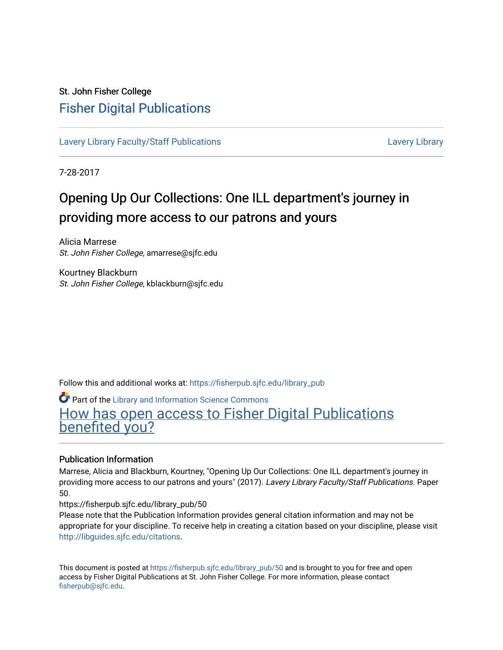#### St. John Fisher College [Fisher Digital Publications](https://fisherpub.sjfc.edu/)

[Lavery Library Faculty/Staff Publications](https://fisherpub.sjfc.edu/library_pub) [Lavery Library](https://fisherpub.sjfc.edu/library) Lavery Library

7-28-2017

#### Opening Up Our Collections: One ILL department's journey in providing more access to our patrons and yours

Alicia Marrese St. John Fisher College, amarrese@sjfc.edu

Kourtney Blackburn St. John Fisher College, kblackburn@sjfc.edu

Follow this and additional works at: [https://fisherpub.sjfc.edu/library\\_pub](https://fisherpub.sjfc.edu/library_pub?utm_source=fisherpub.sjfc.edu%2Flibrary_pub%2F50&utm_medium=PDF&utm_campaign=PDFCoverPages)

**Part of the Library and Information Science Commons** [How has open access to Fisher Digital Publications](https://docs.google.com/forms/d/14zrnDfH9d1wcdq8oG_-gFabAsxfcH5claltx85ZWyTg/viewform?entry.1394608989=https://fisherpub.sjfc.edu/library_pub/50%3Chttps://docs.google.com/forms/d/14zrnDfH9d1wcdq8oG_-gFabAsxfcH5claltx85ZWyTg/viewform?entry.1394608989=%7bhttps://fisherpub.sjfc.edu/library_pub/50%7d) [benefited you?](https://docs.google.com/forms/d/14zrnDfH9d1wcdq8oG_-gFabAsxfcH5claltx85ZWyTg/viewform?entry.1394608989=https://fisherpub.sjfc.edu/library_pub/50%3Chttps://docs.google.com/forms/d/14zrnDfH9d1wcdq8oG_-gFabAsxfcH5claltx85ZWyTg/viewform?entry.1394608989=%7bhttps://fisherpub.sjfc.edu/library_pub/50%7d)

#### Publication Information

Marrese, Alicia and Blackburn, Kourtney, "Opening Up Our Collections: One ILL department's journey in providing more access to our patrons and yours" (2017). Lavery Library Faculty/Staff Publications. Paper 50.

https://fisherpub.sjfc.edu/library\_pub/50

Please note that the Publication Information provides general citation information and may not be appropriate for your discipline. To receive help in creating a citation based on your discipline, please visit [http://libguides.sjfc.edu/citations.](http://libguides.sjfc.edu/citations)

This document is posted at [https://fisherpub.sjfc.edu/library\\_pub/50](https://fisherpub.sjfc.edu/library_pub/50) and is brought to you for free and open access by Fisher Digital Publications at St. John Fisher College. For more information, please contact [fisherpub@sjfc.edu](mailto:fisherpub@sjfc.edu).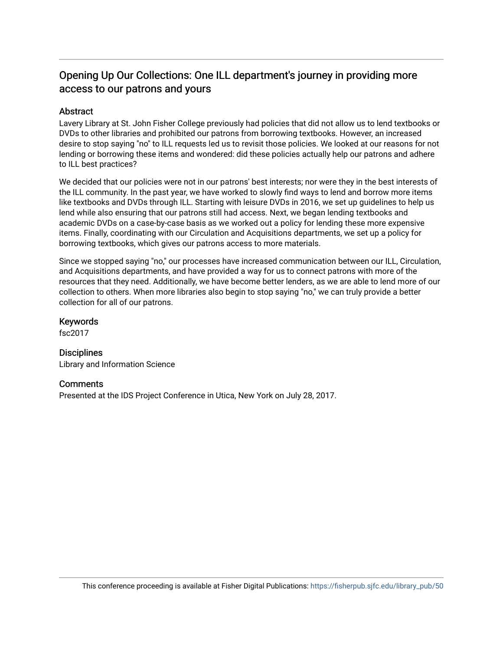#### Opening Up Our Collections: One ILL department's journey in providing more access to our patrons and yours

#### Abstract

Lavery Library at St. John Fisher College previously had policies that did not allow us to lend textbooks or DVDs to other libraries and prohibited our patrons from borrowing textbooks. However, an increased desire to stop saying "no" to ILL requests led us to revisit those policies. We looked at our reasons for not lending or borrowing these items and wondered: did these policies actually help our patrons and adhere to ILL best practices?

We decided that our policies were not in our patrons' best interests; nor were they in the best interests of the ILL community. In the past year, we have worked to slowly find ways to lend and borrow more items like textbooks and DVDs through ILL. Starting with leisure DVDs in 2016, we set up guidelines to help us lend while also ensuring that our patrons still had access. Next, we began lending textbooks and academic DVDs on a case-by-case basis as we worked out a policy for lending these more expensive items. Finally, coordinating with our Circulation and Acquisitions departments, we set up a policy for borrowing textbooks, which gives our patrons access to more materials.

Since we stopped saying "no," our processes have increased communication between our ILL, Circulation, and Acquisitions departments, and have provided a way for us to connect patrons with more of the resources that they need. Additionally, we have become better lenders, as we are able to lend more of our collection to others. When more libraries also begin to stop saying "no," we can truly provide a better collection for all of our patrons.

Keywords

fsc2017

**Disciplines** Library and Information Science

#### **Comments**

Presented at the IDS Project Conference in Utica, New York on July 28, 2017.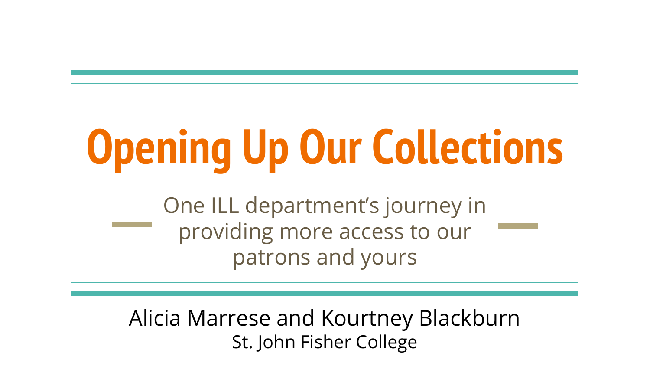## **Opening Up Our Collections**

One ILL department's journey in providing more access to our patrons and yours

Alicia Marrese and Kourtney Blackburn St. John Fisher College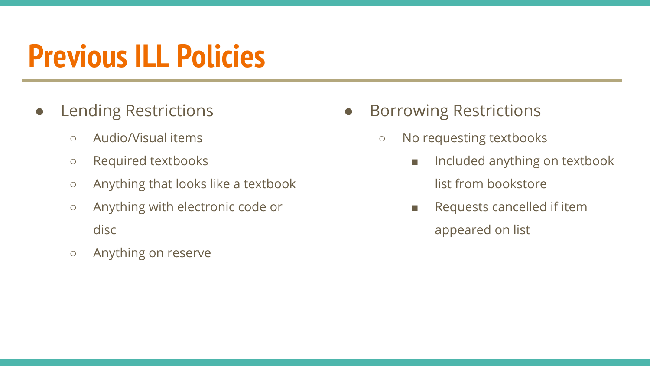#### **Previous ILL Policies**

- Lending Restrictions
	- Audio/Visual items
	- Required textbooks
	- Anything that looks like a textbook
	- Anything with electronic code or disc
	- Anything on reserve
- Borrowing Restrictions
	- No requesting textbooks
		- Included anything on textbook list from bookstore
		- Requests cancelled if item appeared on list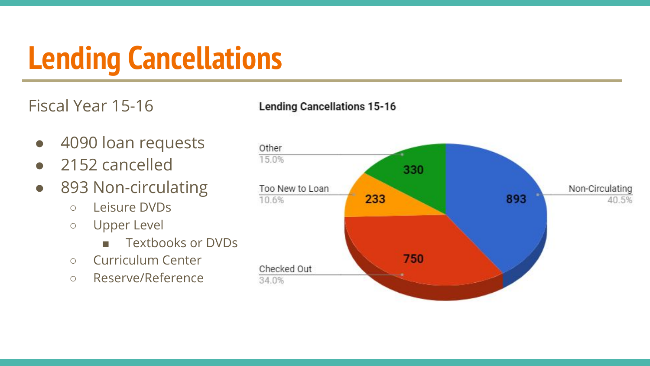### **Lending Cancellations**

Fiscal Year 15-16

**Lending Cancellations 15-16** 

- 4090 loan requests
- 2152 cancelled
- 893 Non-circulating
	- Leisure DVDs
	- Upper Level
		- Textbooks or DVDs
	- Curriculum Center
	- Reserve/Reference

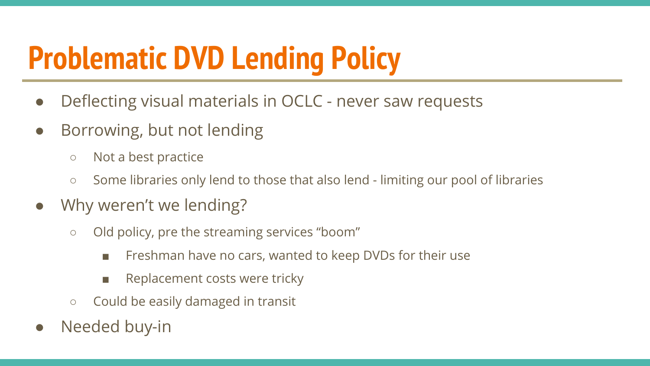### **Problematic DVD Lending Policy**

- Deflecting visual materials in OCLC never saw requests
- Borrowing, but not lending
	- Not a best practice
	- Some libraries only lend to those that also lend limiting our pool of libraries
- Why weren't we lending?
	- Old policy, pre the streaming services "boom"
		- Freshman have no cars, wanted to keep DVDs for their use
		- Replacement costs were tricky
	- Could be easily damaged in transit
- Needed buy-in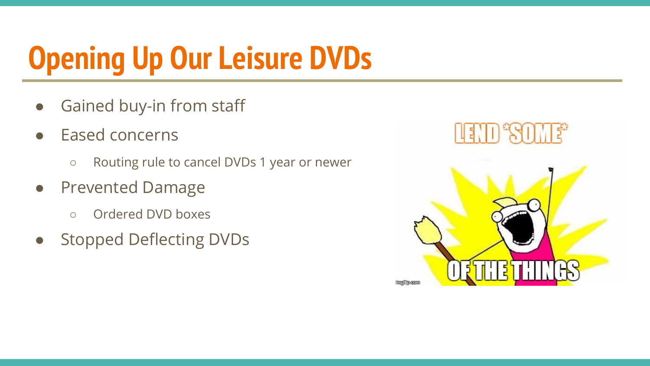### **Opening Up Our Leisure DVDs**

- Gained buy-in from staff
- Eased concerns
	- Routing rule to cancel DVDs 1 year or newer
- Prevented Damage
	- Ordered DVD boxes
- Stopped Deflecting DVDs

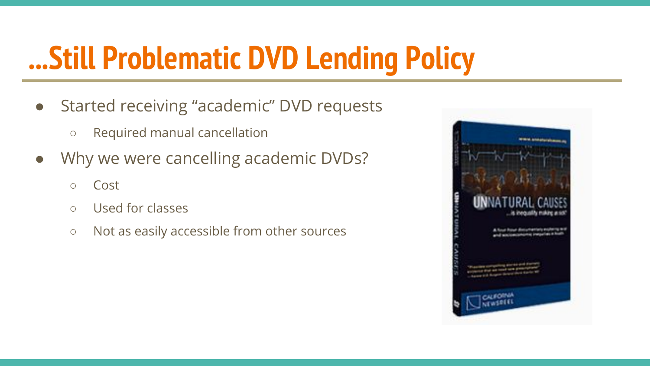#### **...Still Problematic DVD Lending Policy**

- Started receiving "academic" DVD requests
	- Required manual cancellation
- Why we were cancelling academic DVDs?
	- Cost
	- Used for classes
	- Not as easily accessible from other sources

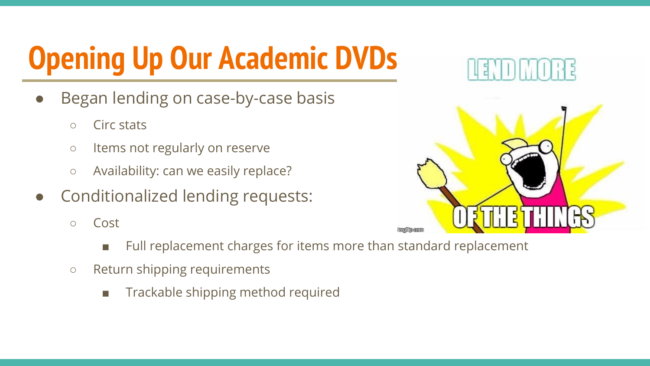### **Opening Up Our Academic DVDs**

- Began lending on case-by-case basis
	- Circ stats
	- Items not regularly on reserve
	- Availability: can we easily replace?
- Conditionalized lending requests:
	- Cost
		- Full replacement charges for items more than standard replacement
	- Return shipping requirements
		- Trackable shipping method required



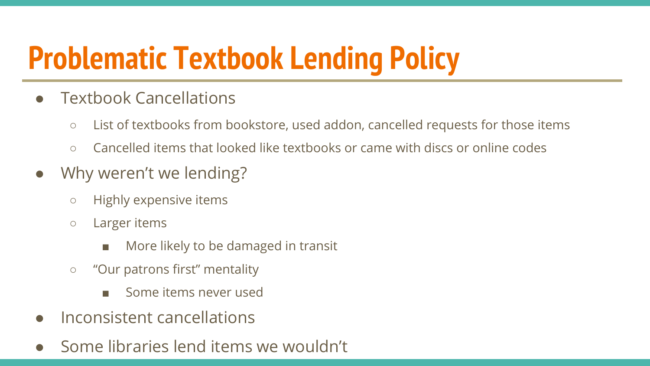#### **Problematic Textbook Lending Policy**

- **Textbook Cancellations** 
	- List of textbooks from bookstore, used addon, cancelled requests for those items
	- Cancelled items that looked like textbooks or came with discs or online codes
- Why weren't we lending?
	- Highly expensive items
	- Larger items
		- More likely to be damaged in transit
	- "Our patrons first" mentality
		- Some items never used
- Inconsistent cancellations
- Some libraries lend items we wouldn't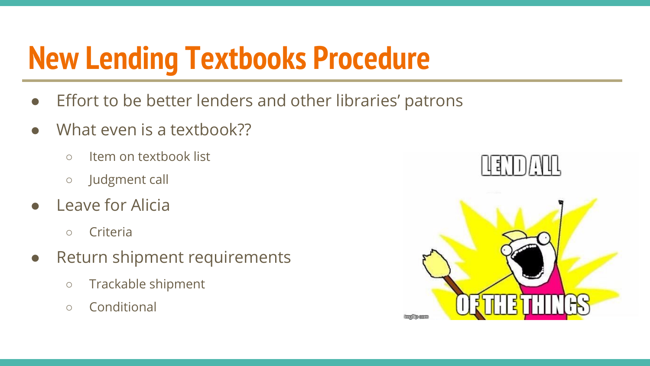#### **New Lending Textbooks Procedure**

- Effort to be better lenders and other libraries' patrons
- What even is a textbook??
	- Item on textbook list
	- Judgment call
- Leave for Alicia
	- Criteria
- Return shipment requirements
	- Trackable shipment
	- Conditional

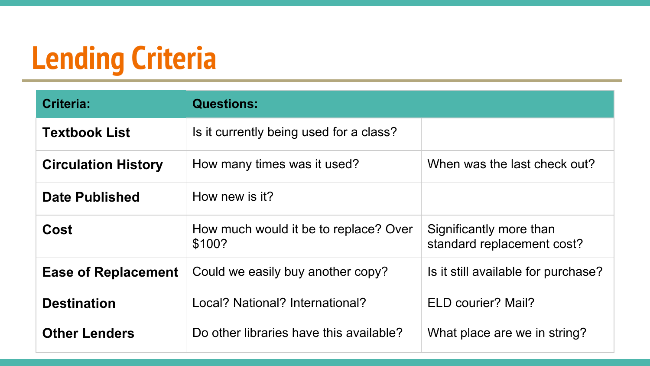### **Lending Criteria**

| Criteria:                  | <b>Questions:</b>                               |                                                       |
|----------------------------|-------------------------------------------------|-------------------------------------------------------|
| <b>Textbook List</b>       | Is it currently being used for a class?         |                                                       |
| <b>Circulation History</b> | How many times was it used?                     | When was the last check out?                          |
| <b>Date Published</b>      | How new is it?                                  |                                                       |
| Cost                       | How much would it be to replace? Over<br>\$100? | Significantly more than<br>standard replacement cost? |
| <b>Ease of Replacement</b> | Could we easily buy another copy?               | Is it still available for purchase?                   |
| <b>Destination</b>         | Local? National? International?                 | ELD courier? Mail?                                    |
| <b>Other Lenders</b>       | Do other libraries have this available?         | What place are we in string?                          |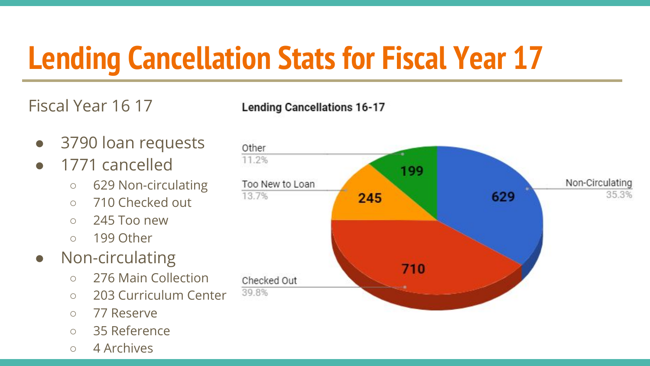### **Lending Cancellation Stats for Fiscal Year 17**

Fiscal Year 16 17

**Lending Cancellations 16-17** 

- 3790 loan requests
- 1771 cancelled
	- 629 Non-circulating
	- 710 Checked out
	- $\circ$  245 Too new
	- 199 Other
- Non-circulating
	- 276 Main Collection
	- 203 Curriculum Center
	- 77 Reserve
	- 35 Reference
	- 4 Archives

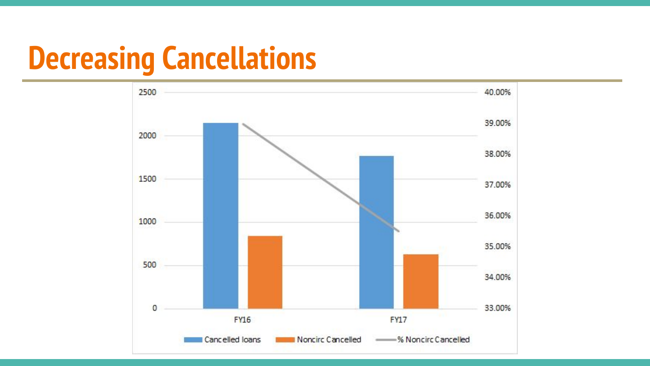#### **Decreasing Cancellations**

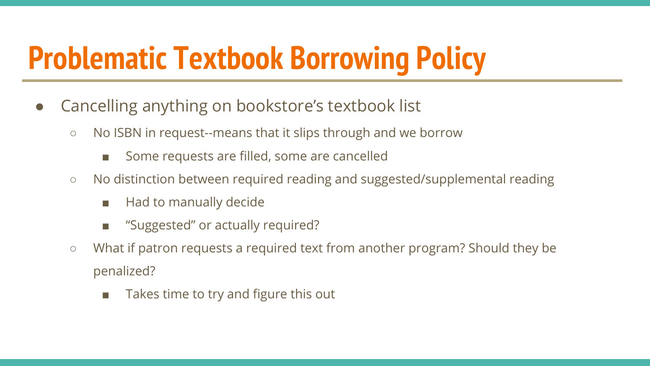#### **Problematic Textbook Borrowing Policy**

- Cancelling anything on bookstore's textbook list
	- No ISBN in request--means that it slips through and we borrow
		- Some requests are filled, some are cancelled
	- No distinction between required reading and suggested/supplemental reading
		- Had to manually decide
		- "Suggested" or actually required?
	- What if patron requests a required text from another program? Should they be penalized?
		- Takes time to try and figure this out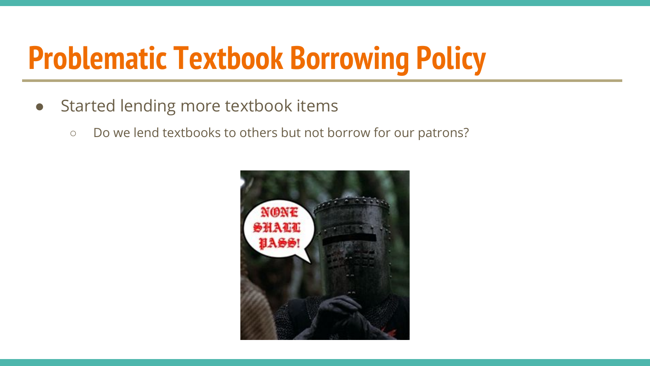#### **Problematic Textbook Borrowing Policy**

- Started lending more textbook items
	- Do we lend textbooks to others but not borrow for our patrons?

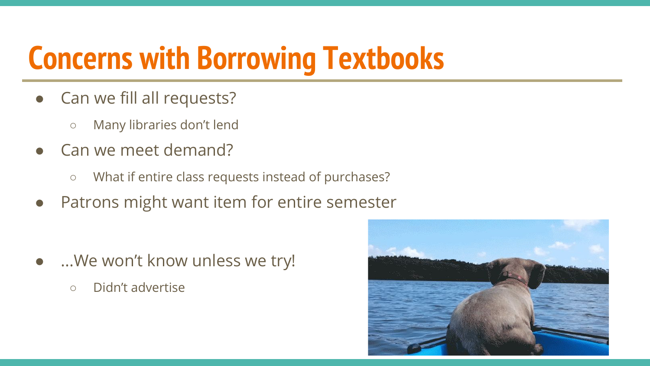#### **Concerns with Borrowing Textbooks**

- Can we fill all requests?
	- Many libraries don't lend
- Can we meet demand?
	- What if entire class requests instead of purchases?
- Patrons might want item for entire semester

- ...We won't know unless we try!
	- Didn't advertise

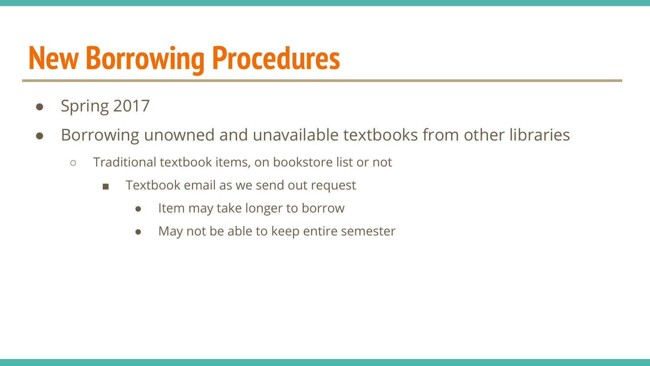#### **New Borrowing Procedures**

- Spring 2017
- Borrowing unowned and unavailable textbooks from other libraries
	- Traditional textbook items, on bookstore list or not
		- Textbook email as we send out request
			- Item may take longer to borrow
			- May not be able to keep entire semester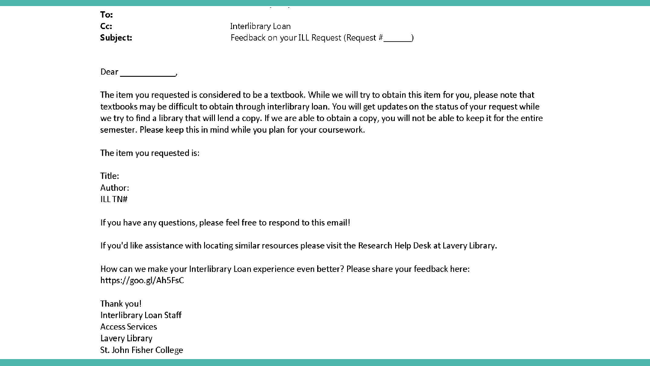To:  $Cc:$ Subject:

Interlibrary Loan Feedback on your ILL Request (Request # 1

Dear

The item you requested is considered to be a textbook. While we will try to obtain this item for you, please note that textbooks may be difficult to obtain through interlibrary loan. You will get updates on the status of your request while we try to find a library that will lend a copy. If we are able to obtain a copy, you will not be able to keep it for the entire semester. Please keep this in mind while you plan for your coursework.

The item you requested is:

Title: Author:

**ILL TN#** 

If you have any questions, please feel free to respond to this email!

If you'd like assistance with locating similar resources please visit the Research Help Desk at Lavery Library.

How can we make your Interlibrary Loan experience even better? Please share your feedback here: https://goo.gl/Ah5FsC

Thank you! Interlibrary Loan Staff **Access Services** Lavery Library St. John Fisher College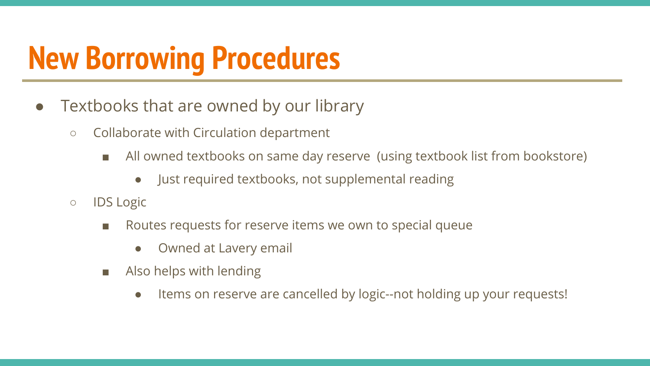#### **New Borrowing Procedures**

- Textbooks that are owned by our library
	- Collaborate with Circulation department
		- All owned textbooks on same day reserve (using textbook list from bookstore)
			- Just required textbooks, not supplemental reading
	- IDS Logic
		- Routes requests for reserve items we own to special queue
			- Owned at Lavery email
		- Also helps with lending
			- Items on reserve are cancelled by logic--not holding up your requests!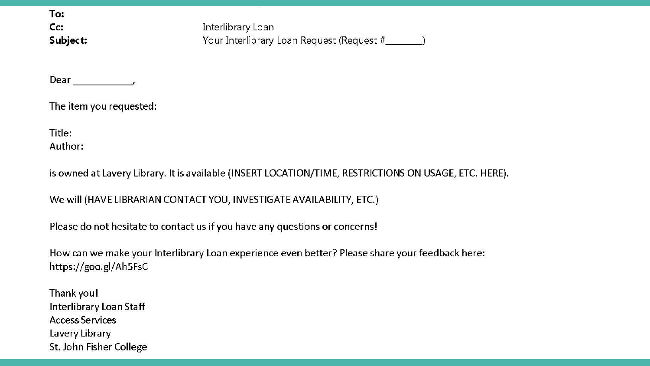To:  $Cc:$ Subject:

Interlibrary Loan Your Interlibrary Loan Request (Request #\_\_\_\_\_\_\_\_)

Dear .

The item you requested:

Title: Author:

is owned at Lavery Library. It is available (INSERT LOCATION/TIME, RESTRICTIONS ON USAGE, ETC. HERE).

We will (HAVE LIBRARIAN CONTACT YOU, INVESTIGATE AVAILABILITY, ETC.)

Please do not hesitate to contact us if you have any questions or concerns!

How can we make your Interlibrary Loan experience even better? Please share your feedback here: https://goo.gl/Ah5FsC

Thank you! Interlibrary Loan Staff **Access Services** Lavery Library St. John Fisher College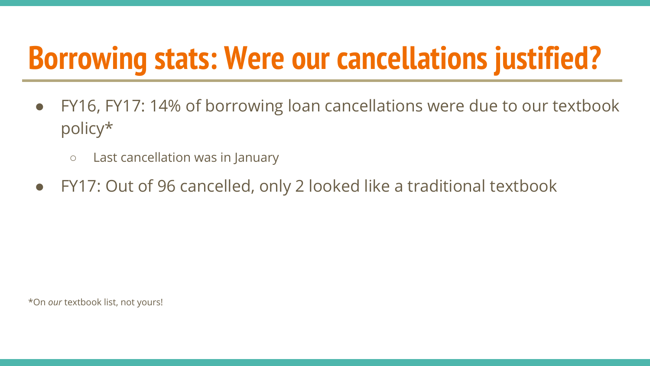#### **Borrowing stats: Were our cancellations justified?**

- FY16, FY17: 14% of borrowing loan cancellations were due to our textbook policy\*
	- Last cancellation was in January
- FY17: Out of 96 cancelled, only 2 looked like a traditional textbook

\*On *our* textbook list, not yours!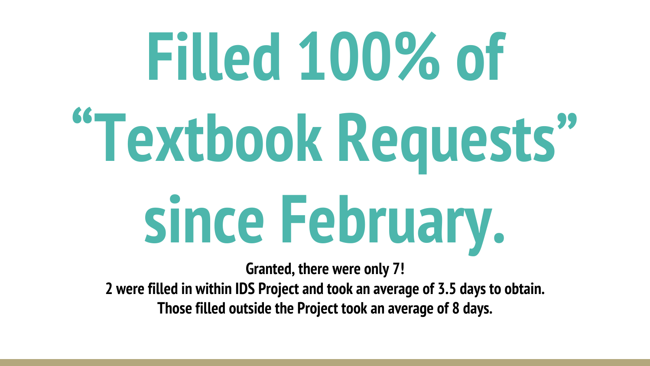# **Filled 100% of "Textbook Requests" since February.**

**Granted, there were only 7!**

**2 were filled in within IDS Project and took an average of 3.5 days to obtain. Those filled outside the Project took an average of 8 days.**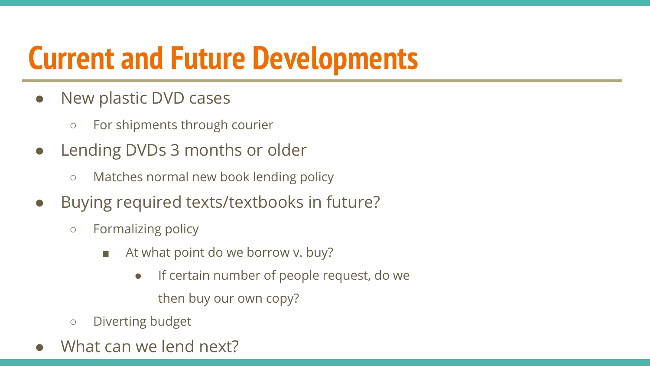#### **Current and Future Developments**

- New plastic DVD cases
	- For shipments through courier
- Lending DVDs 3 months or older
	- Matches normal new book lending policy
- Buying required texts/textbooks in future?
	- Formalizing policy
		- At what point do we borrow v. buy?
			- If certain number of people request, do we then buy our own copy?
	- Diverting budget
- What can we lend next?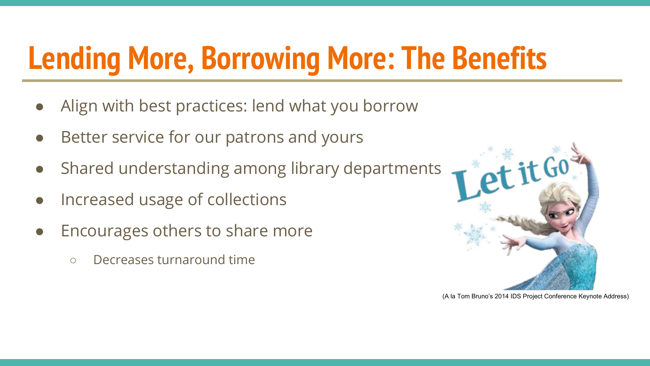### **Lending More, Borrowing More: The Benefits**

- Align with best practices: lend what you borrow
- Better service for our patrons and yours
- Shared understanding among library departments
- Increased usage of collections
- Encourages others to share more
	- Decreases turnaround time



(A la Tom Bruno's 2014 IDS Project Conference Keynote Address)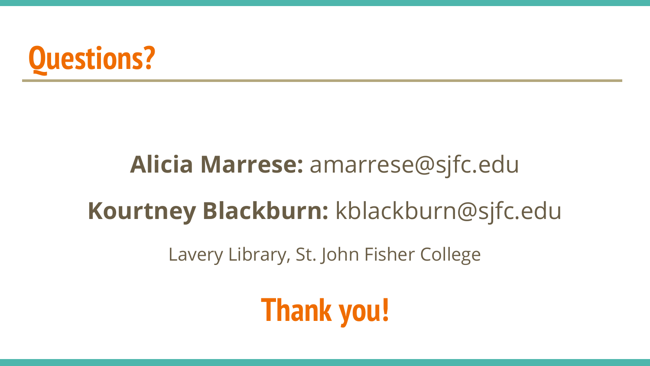

#### **Alicia Marrese:** amarrese@sjfc.edu

#### **Kourtney Blackburn:** kblackburn@sjfc.edu

Lavery Library, St. John Fisher College